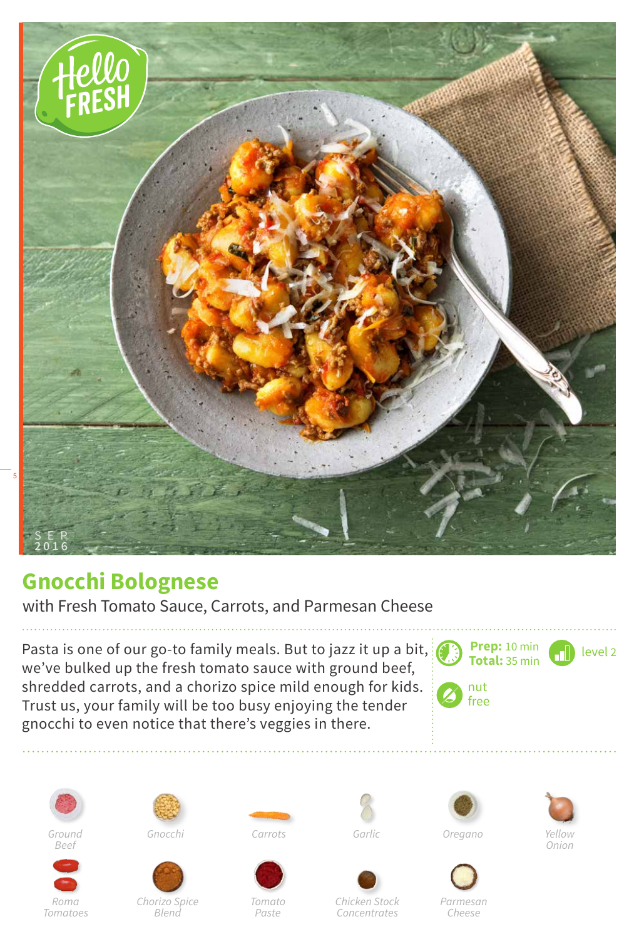

## **Gnocchi Bolognese**

with Fresh Tomato Sauce, Carrots, and Parmesan Cheese

Pasta is one of our go-to family meals. But to jazz it up a bit,  $\mathcal{E}$ we've bulked up the fresh tomato sauce with ground beef, shredded carrots, and a chorizo spice mild enough for kids. Trust us, your family will be too busy enjoying the tender gnocchi to even notice that there's veggies in there.





*Roma Tomatoes*











*Onion*

*Chorizo Spice Blend*

*Tomato Paste*

*Chicken Stock Concentrates*

*Parmesan*

*Cheese*